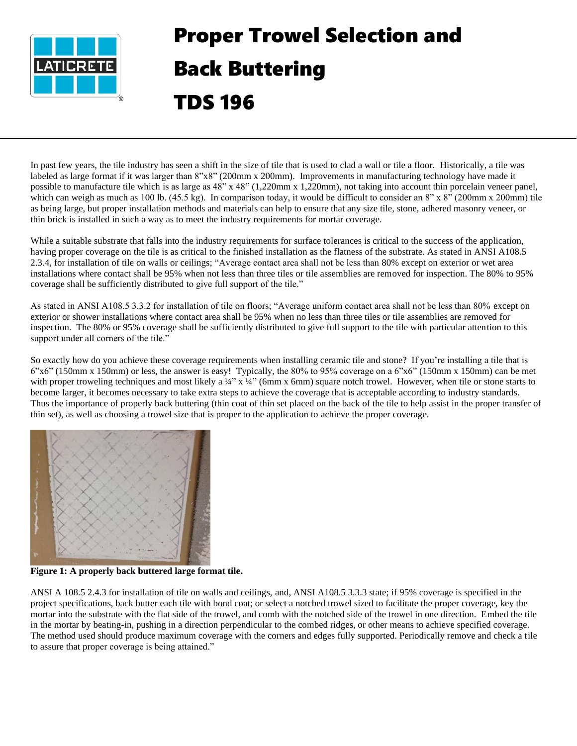

## Proper Trowel Selection and Back Buttering TDS 196

In past few years, the tile industry has seen a shift in the size of tile that is used to clad a wall or tile a floor. Historically, a tile was labeled as large format if it was larger than 8"x8" (200mm x 200mm). Improvements in manufacturing technology have made it possible to manufacture tile which is as large as 48" x 48" (1,220mm x 1,220mm), not taking into account thin porcelain veneer panel, which can weigh as much as 100 lb. (45.5 kg). In comparison today, it would be difficult to consider an 8" x 8" (200mm x 200mm) tile as being large, but proper installation methods and materials can help to ensure that any size tile, stone, adhered masonry veneer, or thin brick is installed in such a way as to meet the industry requirements for mortar coverage.

While a suitable substrate that falls into the industry requirements for surface tolerances is critical to the success of the application, having proper coverage on the tile is as critical to the finished installation as the flatness of the substrate. As stated in ANSI A108.5 2.3.4, for installation of tile on walls or ceilings; "Average contact area shall not be less than 80% except on exterior or wet area installations where contact shall be 95% when not less than three tiles or tile assemblies are removed for inspection. The 80% to 95% coverage shall be sufficiently distributed to give full support of the tile."

As stated in ANSI A108.5 3.3.2 for installation of tile on floors; "Average uniform contact area shall not be less than 80% except on exterior or shower installations where contact area shall be 95% when no less than three tiles or tile assemblies are removed for inspection. The 80% or 95% coverage shall be sufficiently distributed to give full support to the tile with particular attention to this support under all corners of the tile."

So exactly how do you achieve these coverage requirements when installing ceramic tile and stone? If you're installing a tile that is 6"x6" (150mm x 150mm) or less, the answer is easy! Typically, the 80% to 95% coverage on a 6"x6" (150mm x 150mm) can be met with proper troweling techniques and most likely a  $\frac{1}{4}$ " x  $\frac{1}{4}$ " (6mm x 6mm) square notch trowel. However, when tile or stone starts to become larger, it becomes necessary to take extra steps to achieve the coverage that is acceptable according to industry standards. Thus the importance of properly back buttering (thin coat of thin set placed on the back of the tile to help assist in the proper transfer of thin set), as well as choosing a trowel size that is proper to the application to achieve the proper coverage.



**Figure 1: A properly back buttered large format tile.**

ANSI A 108.5 2.4.3 for installation of tile on walls and ceilings, and, ANSI A108.5 3.3.3 state; if 95% coverage is specified in the project specifications, back butter each tile with bond coat; or select a notched trowel sized to facilitate the proper coverage, key the mortar into the substrate with the flat side of the trowel, and comb with the notched side of the trowel in one direction. Embed the tile in the mortar by beating-in, pushing in a direction perpendicular to the combed ridges, or other means to achieve specified coverage. The method used should produce maximum coverage with the corners and edges fully supported. Periodically remove and check a tile to assure that proper coverage is being attained."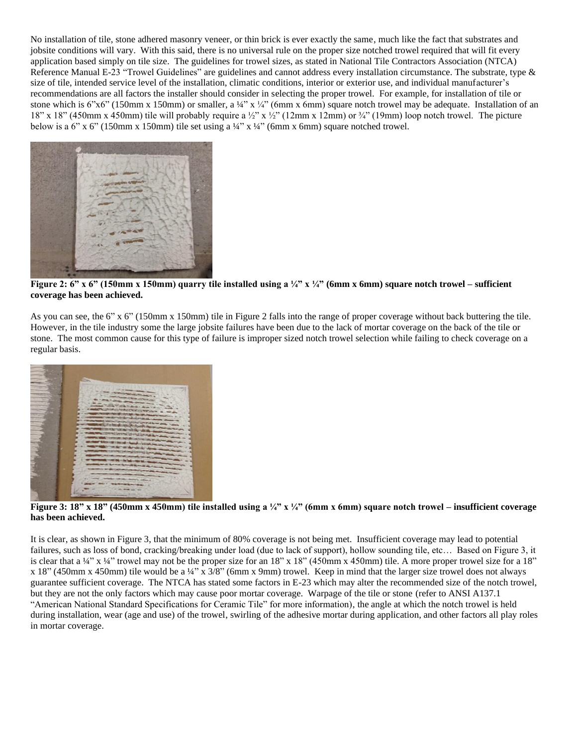No installation of tile, stone adhered masonry veneer, or thin brick is ever exactly the same, much like the fact that substrates and jobsite conditions will vary. With this said, there is no universal rule on the proper size notched trowel required that will fit every application based simply on tile size. The guidelines for trowel sizes, as stated in National Tile Contractors Association (NTCA) Reference Manual E-23 "Trowel Guidelines" are guidelines and cannot address every installation circumstance. The substrate, type & size of tile, intended service level of the installation, climatic conditions, interior or exterior use, and individual manufacturer's recommendations are all factors the installer should consider in selecting the proper trowel. For example, for installation of tile or stone which is 6"x6" (150mm x 150mm) or smaller, a ¼" x ¼" (6mm x 6mm) square notch trowel may be adequate. Installation of an 18" x 18" (450mm x 450mm) tile will probably require a ½" x ½" (12mm x 12mm) or ¼" (19mm) loop notch trowel. The picture below is a 6" x 6" (150mm x 150mm) tile set using a  $\frac{1}{4}$ " x  $\frac{1}{4}$ " (6mm x 6mm) square notched trowel.



**Figure 2: 6" x 6" (150mm x 150mm) quarry tile installed using a ¼" x ¼" (6mm x 6mm) square notch trowel – sufficient coverage has been achieved.**

As you can see, the 6" x 6" (150mm x 150mm) tile in Figure 2 falls into the range of proper coverage without back buttering the tile. However, in the tile industry some the large jobsite failures have been due to the lack of mortar coverage on the back of the tile or stone. The most common cause for this type of failure is improper sized notch trowel selection while failing to check coverage on a regular basis.



**Figure 3: 18" x 18" (450mm x 450mm) tile installed using a ¼" x ¼" (6mm x 6mm) square notch trowel – insufficient coverage has been achieved.**

It is clear, as shown in Figure 3, that the minimum of 80% coverage is not being met. Insufficient coverage may lead to potential failures, such as loss of bond, cracking/breaking under load (due to lack of support), hollow sounding tile, etc… Based on Figure 3, it is clear that a  $\frac{1}{4}$ " x  $\frac{1}{4}$ " trowel may not be the proper size for an 18" x 18" (450mm x 450mm) tile. A more proper trowel size for a 18" x 18" (450mm x 450mm) tile would be a ¼" x 3/8" (6mm x 9mm) trowel. Keep in mind that the larger size trowel does not always guarantee sufficient coverage. The NTCA has stated some factors in E-23 which may alter the recommended size of the notch trowel, but they are not the only factors which may cause poor mortar coverage. Warpage of the tile or stone (refer to ANSI A137.1 "American National Standard Specifications for Ceramic Tile" for more information), the angle at which the notch trowel is held during installation, wear (age and use) of the trowel, swirling of the adhesive mortar during application, and other factors all play roles in mortar coverage.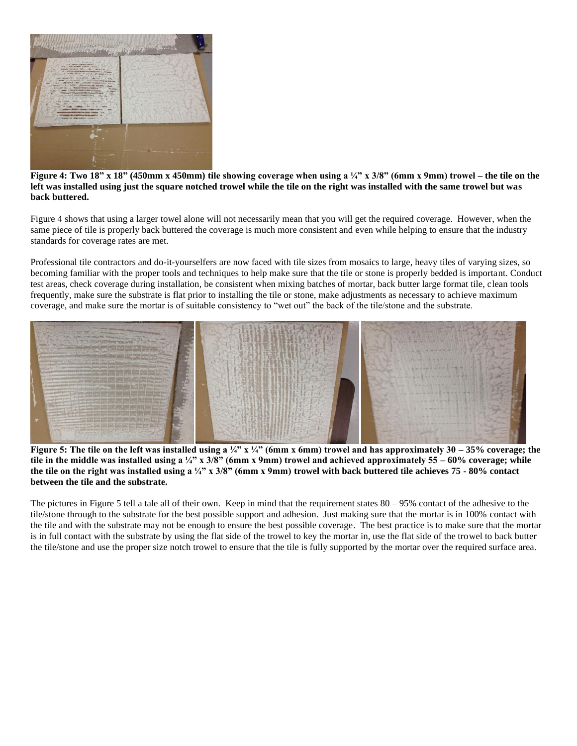

## **Figure 4: Two 18" x 18" (450mm x 450mm) tile showing coverage when using a ¼" x 3/8" (6mm x 9mm) trowel – the tile on the left was installed using just the square notched trowel while the tile on the right was installed with the same trowel but was back buttered.**

Figure 4 shows that using a larger towel alone will not necessarily mean that you will get the required coverage. However, when the same piece of tile is properly back buttered the coverage is much more consistent and even while helping to ensure that the industry standards for coverage rates are met.

Professional tile contractors and do-it-yourselfers are now faced with tile sizes from mosaics to large, heavy tiles of varying sizes, so becoming familiar with the proper tools and techniques to help make sure that the tile or stone is properly bedded is important. Conduct test areas, check coverage during installation, be consistent when mixing batches of mortar, back butter large format tile, clean tools frequently, make sure the substrate is flat prior to installing the tile or stone, make adjustments as necessary to achieve maximum coverage, and make sure the mortar is of suitable consistency to "wet out" the back of the tile/stone and the substrate.



**Figure 5: The tile on the left was installed using a ¼" x ¼" (6mm x 6mm) trowel and has approximately 30 – 35% coverage; the tile in the middle was installed using a ¼" x 3/8" (6mm x 9mm) trowel and achieved approximately 55 – 60% coverage; while the tile on the right was installed using a ¼" x 3/8" (6mm x 9mm) trowel with back buttered tile achieves 75 - 80% contact between the tile and the substrate.**

The pictures in Figure 5 tell a tale all of their own. Keep in mind that the requirement states 80 – 95% contact of the adhesive to the tile/stone through to the substrate for the best possible support and adhesion. Just making sure that the mortar is in 100% contact with the tile and with the substrate may not be enough to ensure the best possible coverage. The best practice is to make sure that the mortar is in full contact with the substrate by using the flat side of the trowel to key the mortar in, use the flat side of the trowel to back butter the tile/stone and use the proper size notch trowel to ensure that the tile is fully supported by the mortar over the required surface area.